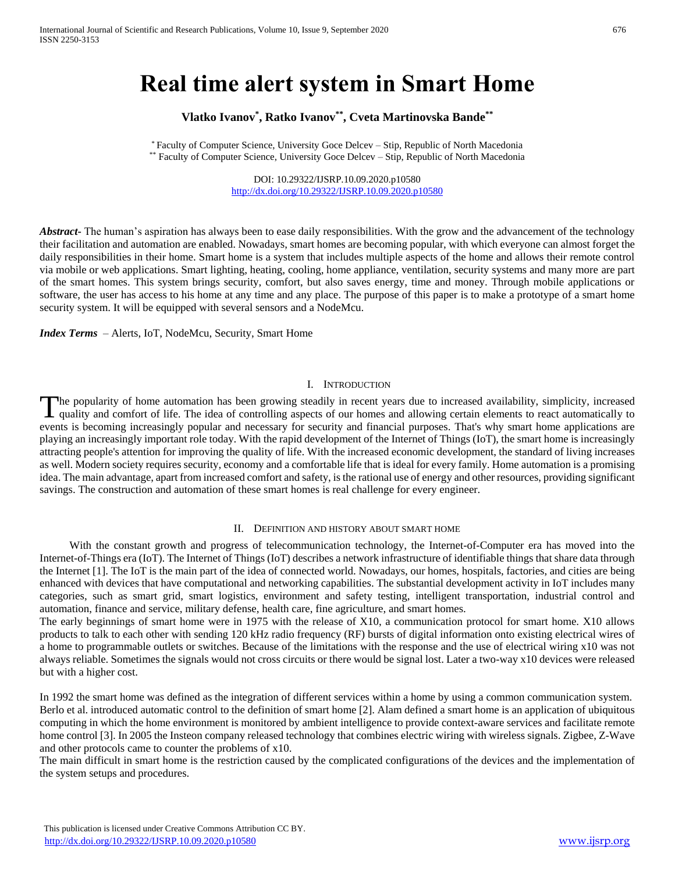# **Real time alert system in Smart Home**

# **Vlatko Ivanov\* , Ratko Ivanov\*\* , Cveta Martinovska Bande\*\***

\* Faculty of Computer Science, University Goce Delcev – Stip, Republic of North Macedonia \*\* Faculty of Computer Science, University Goce Delcev - Stip, Republic of North Macedonia

> DOI: 10.29322/IJSRP.10.09.2020.p10580 <http://dx.doi.org/10.29322/IJSRP.10.09.2020.p10580>

*Abstract* The human's aspiration has always been to ease daily responsibilities. With the grow and the advancement of the technology their facilitation and automation are enabled. Nowadays, smart homes are becoming popular, with which everyone can almost forget the daily responsibilities in their home. Smart home is a system that includes multiple aspects of the home and allows their remote control via mobile or web applications. Smart lighting, heating, cooling, home appliance, ventilation, security systems and many more are part of the smart homes. This system brings security, comfort, but also saves energy, time and money. Through mobile applications or software, the user has access to his home at any time and any place. The purpose of this paper is to make a prototype of a smart home security system. It will be equipped with several sensors and a NodeMcu.

*Index Terms* – Alerts, IoT, NodeMcu, Security, Smart Home

#### I. INTRODUCTION

he popularity of home automation has been growing steadily in recent years due to increased availability, simplicity, increased The popularity of home automation has been growing steadily in recent years due to increased availability, simplicity, increased quality and comfort of life. The idea of controlling aspects of our homes and allowing certai events is becoming increasingly popular and necessary for security and financial purposes. That's why smart home applications are playing an increasingly important role today. With the rapid development of the Internet of Things (IoT), the smart home is increasingly attracting people's attention for improving the quality of life. With the increased economic development, the standard of living increases as well. Modern society requires security, economy and a comfortable life that is ideal for every family. Home automation is a promising idea. The main advantage, apart from increased comfort and safety, is the rational use of energy and other resources, providing significant savings. The construction and automation of these smart homes is real challenge for every engineer.

#### II. DEFINITION AND HISTORY ABOUT SMART HOME

With the constant growth and progress of telecommunication technology, the Internet-of-Computer era has moved into the Internet-of-Things era (IoT). The Internet of Things (IoT) describes a network infrastructure of identifiable things that share data through the Internet [1]. The IoT is the main part of the idea of connected world. Nowadays, our homes, hospitals, factories, and cities are being enhanced with devices that have computational and networking capabilities. The substantial development activity in IoT includes many categories, such as smart grid, smart logistics, environment and safety testing, intelligent transportation, industrial control and automation, finance and service, military defense, health care, fine agriculture, and smart homes.

The early beginnings of smart home were in 1975 with the release of X10, a communication protocol for smart home. X10 allows products to talk to each other with sending 120 kHz radio frequency (RF) bursts of digital information onto existing electrical wires of a home to programmable outlets or switches. Because of the limitations with the response and the use of electrical wiring x10 was not always reliable. Sometimes the signals would not cross circuits or there would be signal lost. Later a two-way x10 devices were released but with a higher cost.

In 1992 the smart home was defined as the integration of different services within a home by using a common communication system. Berlo et al. introduced automatic control to the definition of smart home [2]. Alam defined a smart home is an application of ubiquitous computing in which the home environment is monitored by ambient intelligence to provide context-aware services and facilitate remote home control [3]. In 2005 the Insteon company released technology that combines electric wiring with wireless signals. Zigbee, Z-Wave and other protocols came to counter the problems of x10.

The main difficult in smart home is the restriction caused by the complicated configurations of the devices and the implementation of the system setups and procedures.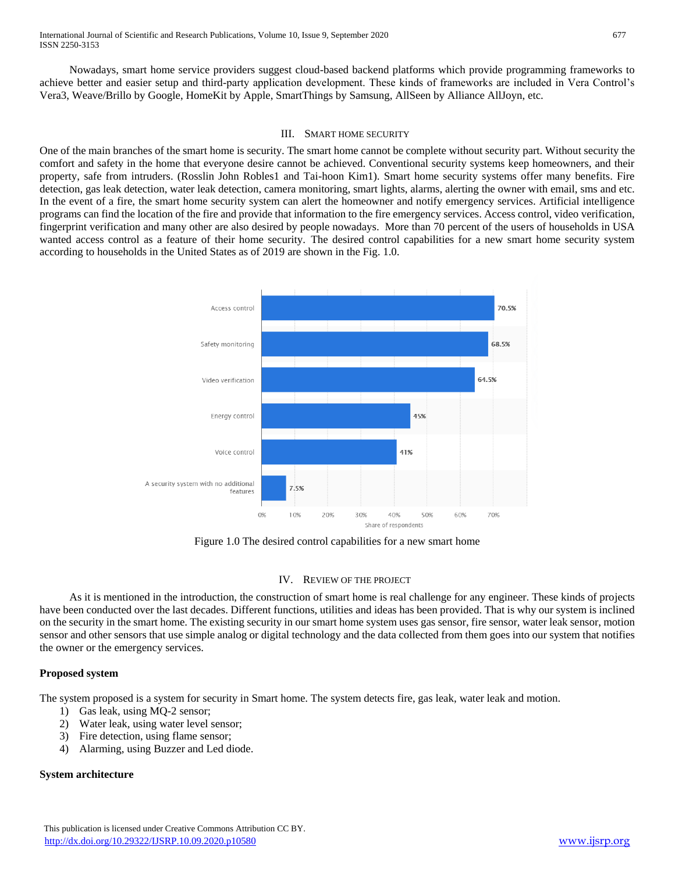International Journal of Scientific and Research Publications, Volume 10, Issue 9, September 2020 677 ISSN 2250-3153

Nowadays, smart home service providers suggest cloud-based backend platforms which provide programming frameworks to achieve better and easier setup and third-party application development. These kinds of frameworks are included in Vera Control's Vera3, Weave/Brillo by Google, HomeKit by Apple, SmartThings by Samsung, AllSeen by Alliance AllJoyn, etc.

#### III. SMART HOME SECURITY

One of the main branches of the smart home is security. The smart home cannot be complete without security part. Without security the comfort and safety in the home that everyone desire cannot be achieved. Conventional security systems keep homeowners, and their property, safe from intruders. (Rosslin John Robles1 and Tai-hoon Kim1). Smart home security systems offer many benefits. Fire detection, gas leak detection, water leak detection, camera monitoring, smart lights, alarms, alerting the owner with email, sms and etc. In the event of a fire, the smart home security system can alert the homeowner and notify emergency services. Artificial intelligence programs can find the location of the fire and provide that information to the fire emergency services. Access control, video verification, fingerprint verification and many other are also desired by people nowadays. More than 70 percent of the users of households in USA wanted access control as a feature of their home security. The desired control capabilities for a new smart home security system according to households in the United States as of 2019 are shown in the Fig. 1.0.



Figure 1.0 The desired control capabilities for a new smart home

## IV. REVIEW OF THE PROJECT

As it is mentioned in the introduction, the construction of smart home is real challenge for any engineer. These kinds of projects have been conducted over the last decades. Different functions, utilities and ideas has been provided. That is why our system is inclined on the security in the smart home. The existing security in our smart home system uses gas sensor, fire sensor, water leak sensor, motion sensor and other sensors that use simple analog or digital technology and the data collected from them goes into our system that notifies the owner or the emergency services.

## **Proposed system**

The system proposed is a system for security in Smart home. The system detects fire, gas leak, water leak and motion.

- 1) Gas leak, using MQ-2 sensor;
- 2) Water leak, using water level sensor;
- 3) Fire detection, using flame sensor;
- 4) Alarming, using Buzzer and Led diode.

## **System architecture**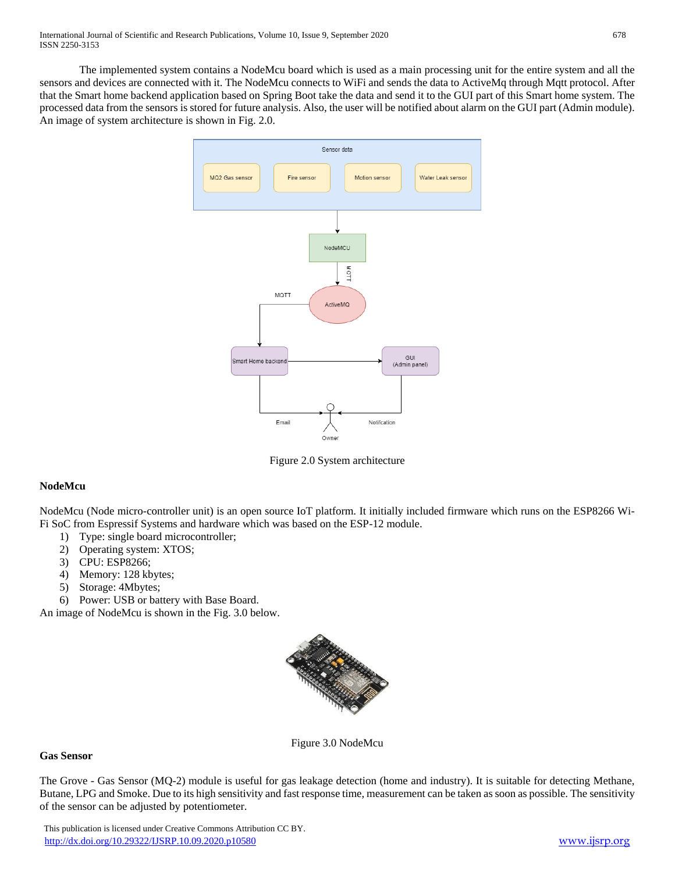The implemented system contains a NodeMcu board which is used as a main processing unit for the entire system and all the sensors and devices are connected with it. The NodeMcu connects to WiFi and sends the data to ActiveMq through Mqtt protocol. After that the Smart home backend application based on Spring Boot take the data and send it to the GUI part of this Smart home system. The processed data from the sensors is stored for future analysis. Also, the user will be notified about alarm on the GUI part (Admin module). An image of system architecture is shown in Fig. 2.0.



Figure 2.0 System architecture

# **NodeMcu**

NodeMcu (Node micro-controller unit) is an open source IoT platform. It initially included firmware which runs on the ESP8266 Wi-Fi SoC from Espressif Systems and hardware which was based on the ESP-12 module.

- 1) Type: single board microcontroller;
- 2) Operating system: XTOS;
- 3) CPU: ESP8266;
- 4) Memory: 128 kbytes;
- 5) Storage: 4Mbytes;
- 6) Power: USB or battery with Base Board.

An image of NodeMcu is shown in the Fig. 3.0 below.



Figure 3.0 NodeMcu

# **Gas Sensor**

The Grove - Gas Sensor (MQ-2) module is useful for gas leakage detection (home and industry). It is suitable for detecting Methane, Butane, LPG and Smoke. Due to its high sensitivity and fast response time, measurement can be taken as soon as possible. The sensitivity of the sensor can be adjusted by potentiometer.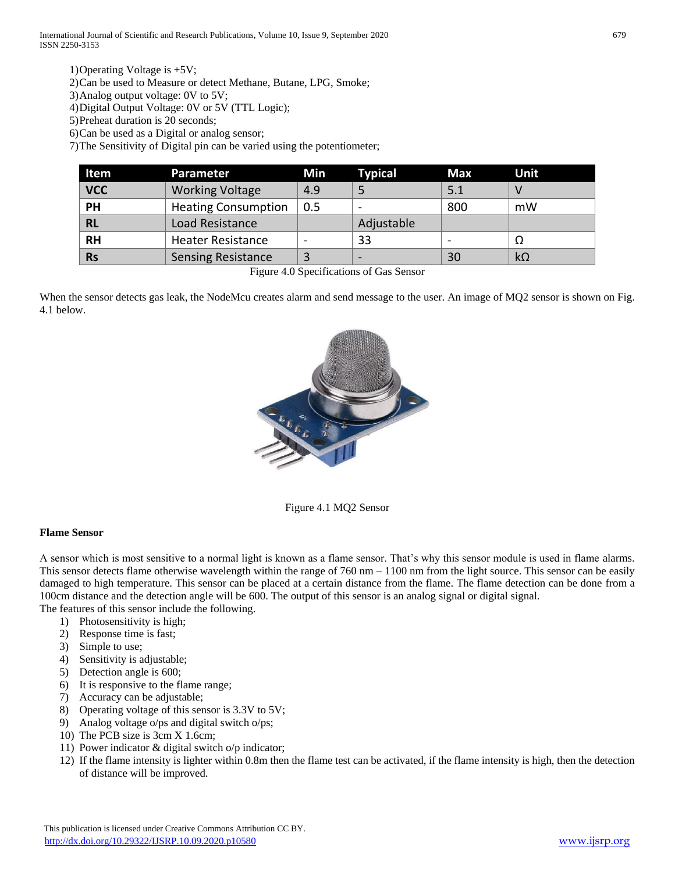1)Operating Voltage is +5V;

2)Can be used to Measure or detect Methane, Butane, LPG, Smoke;

3)Analog output voltage: 0V to 5V;

4)Digital Output Voltage: 0V or 5V (TTL Logic);

5)Preheat duration is 20 seconds;

6)Can be used as a Digital or analog sensor;

7)The Sensitivity of Digital pin can be varied using the potentiometer;

| Item       | Parameter                  | Min | <b>Typical</b>           | Max | Unit      |
|------------|----------------------------|-----|--------------------------|-----|-----------|
| <b>VCC</b> | <b>Working Voltage</b>     | 4.9 |                          | 5.1 |           |
| PH         | <b>Heating Consumption</b> | 0.5 |                          | 800 | mW        |
| <b>RL</b>  | Load Resistance            |     | Adjustable               |     |           |
| <b>RH</b>  | <b>Heater Resistance</b>   |     | 33                       |     |           |
| <b>Rs</b>  | <b>Sensing Resistance</b>  |     | $\overline{\phantom{0}}$ | 30  | $k\Omega$ |

Figure 4.0 Specifications of Gas Sensor

When the sensor detects gas leak, the NodeMcu creates alarm and send message to the user. An image of MQ2 sensor is shown on Fig. 4.1 below.



Figure 4.1 MQ2 Sensor

## **Flame Sensor**

A sensor which is most sensitive to a normal light is known as a flame sensor. That's why this sensor module is used in flame alarms. This sensor detects flame otherwise wavelength within the range of  $760 \text{ nm} - 1100 \text{ nm}$  from the light source. This sensor can be easily damaged to high temperature. This sensor can be placed at a certain distance from the flame. The flame detection can be done from a 100cm distance and the detection angle will be 600. The output of this sensor is an analog signal or digital signal.

The features of this sensor include the following.

- 1) Photosensitivity is high;
- 2) Response time is fast;
- 3) Simple to use;
- 4) Sensitivity is adjustable;
- 5) Detection angle is 600;
- 6) It is responsive to the flame range;
- 7) Accuracy can be adjustable;
- 8) Operating voltage of this sensor is 3.3V to 5V;
- 9) Analog voltage o/ps and digital switch o/ps;
- 10) The PCB size is 3cm X 1.6cm;
- 11) Power indicator & digital switch o/p indicator;
- 12) If the flame intensity is lighter within 0.8m then the flame test can be activated, if the flame intensity is high, then the detection of distance will be improved.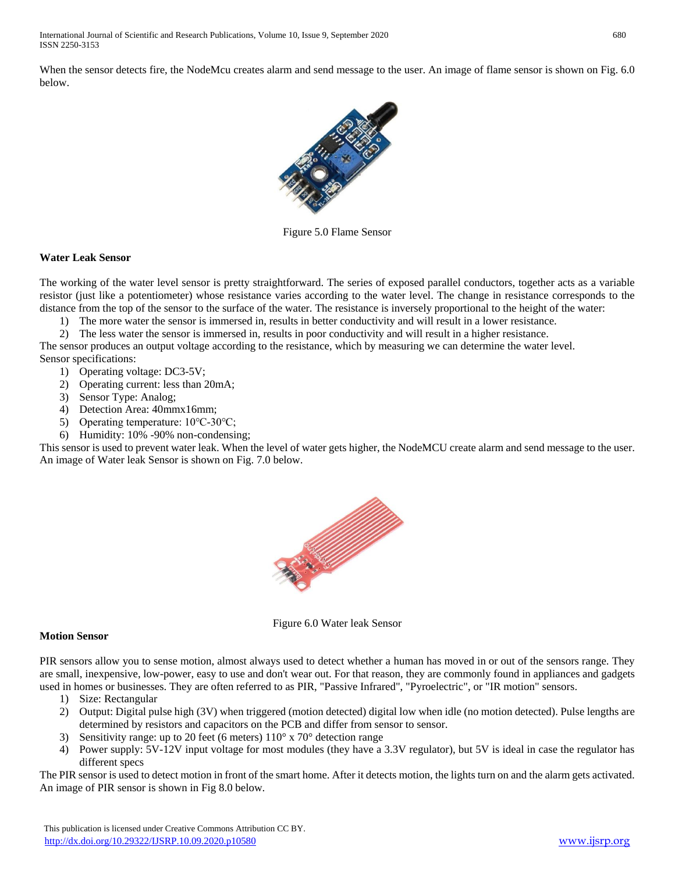When the sensor detects fire, the NodeMcu creates alarm and send message to the user. An image of flame sensor is shown on Fig. 6.0 below.



Figure 5.0 Flame Sensor

# **Water Leak Sensor**

The working of the water level sensor is pretty straightforward. The series of exposed parallel conductors, together acts as a variable resistor (just like a potentiometer) whose resistance varies according to the water level. The change in resistance corresponds to the distance from the top of the sensor to the surface of the water. The resistance is inversely proportional to the height of the water:

1) The more water the sensor is immersed in, results in better conductivity and will result in a lower resistance.

2) The less water the sensor is immersed in, results in poor conductivity and will result in a higher resistance. The sensor produces an output voltage according to the resistance, which by measuring we can determine the water level. Sensor specifications:

- 1) Operating voltage: DC3-5V;
- 2) Operating current: less than 20mA;
- 3) Sensor Type: Analog;
- 4) Detection Area: 40mmx16mm;
- 5) Operating temperature: 10℃-30℃;
- 6) Humidity: 10% -90% non-condensing;

This sensor is used to prevent water leak. When the level of water gets higher, the NodeMCU create alarm and send message to the user. An image of Water leak Sensor is shown on Fig. 7.0 below.



Figure 6.0 Water leak Sensor

# **Motion Sensor**

PIR sensors allow you to sense motion, almost always used to detect whether a human has moved in or out of the sensors range. They are small, inexpensive, low-power, easy to use and don't wear out. For that reason, they are commonly found in appliances and gadgets used in homes or businesses. They are often referred to as PIR, "Passive Infrared", "Pyroelectric", or "IR motion" sensors.

- 1) Size: Rectangular
- 2) Output: Digital pulse high (3V) when triggered (motion detected) digital low when idle (no motion detected). Pulse lengths are determined by resistors and capacitors on the PCB and differ from sensor to sensor.
- 3) Sensitivity range: up to 20 feet (6 meters)  $110^{\circ}$  x  $70^{\circ}$  detection range
- 4) Power supply: 5V-12V input voltage for most modules (they have a 3.3V regulator), but 5V is ideal in case the regulator has different specs

The PIR sensor is used to detect motion in front of the smart home. After it detects motion, the lights turn on and the alarm gets activated. An image of PIR sensor is shown in Fig 8.0 below.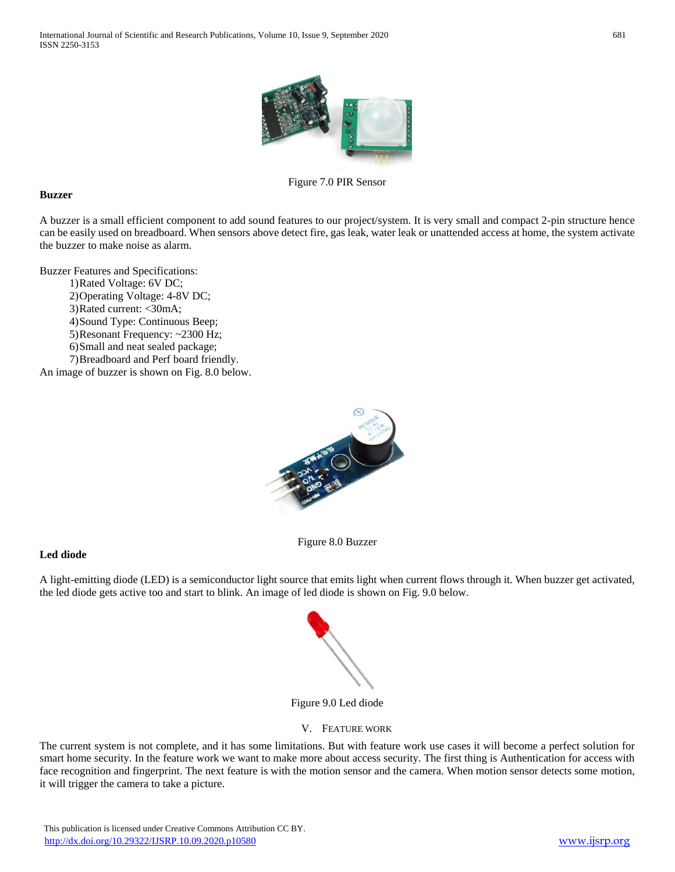

Figure 7.0 PIR Sensor

## **Buzzer**

A buzzer is a small efficient component to add sound features to our project/system. It is very small and compact 2-pin structure hence can be easily used on breadboard. When sensors above detect fire, gas leak, water leak or unattended access at home, the system activate the buzzer to make noise as alarm.

Buzzer Features and Specifications:

- 1)Rated Voltage: 6V DC;
	- 2)Operating Voltage: 4-8V DC;
	- 3)Rated current: <30mA;
	- 4)Sound Type: Continuous Beep;
	- 5)Resonant Frequency: ~2300 Hz;
	- 6)Small and neat sealed package;
- 7)Breadboard and Perf board friendly. An image of buzzer is shown on Fig. 8.0 below.

# **Led diode**

A light-emitting diode (LED) is a semiconductor light source that emits light when current flows through it. When buzzer get activated, the led diode gets active too and start to blink. An image of led diode is shown on Fig. 9.0 below.

Figure 8.0 Buzzer



## Figure 9.0 Led diode

## V. FEATURE WORK

The current system is not complete, and it has some limitations. But with feature work use cases it will become a perfect solution for smart home security. In the feature work we want to make more about access security. The first thing is Authentication for access with face recognition and fingerprint. The next feature is with the motion sensor and the camera. When motion sensor detects some motion, it will trigger the camera to take a picture.